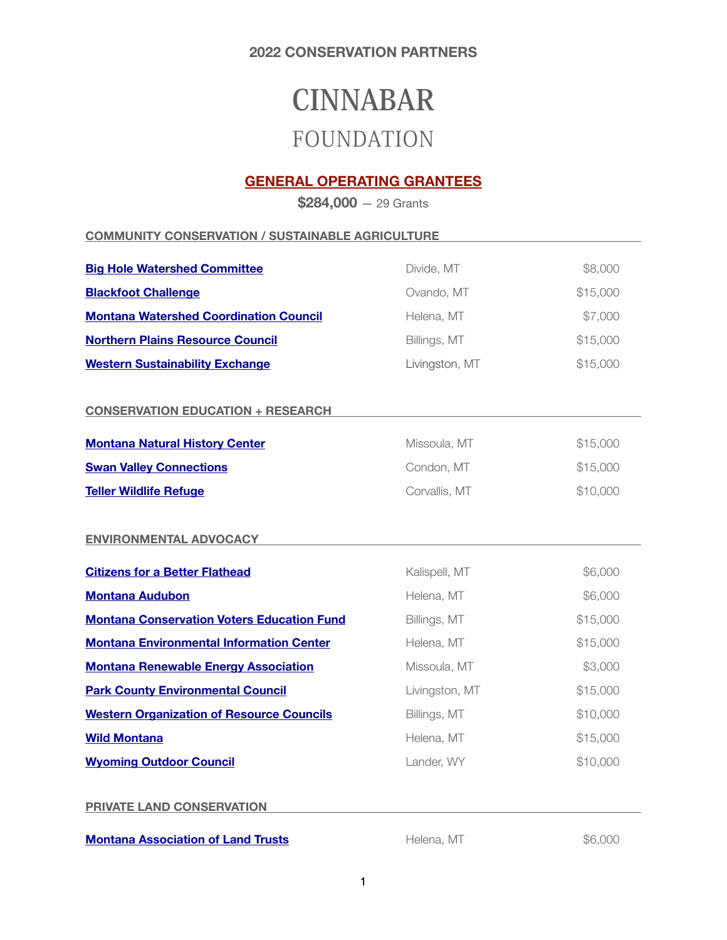# **CINNABAR**  FOUNDATION

# **GENERAL OPERATING GRANTEES**

**\$284,000** — 29 Grants

**COMMUNITY CONSERVATION / SUSTAINABLE AGRICULTURE** 

| <b>Big Hole Watershed Committee</b>               | Divide, MT     | \$8,000  |
|---------------------------------------------------|----------------|----------|
| <b>Blackfoot Challenge</b>                        | Ovando, MT     | \$15,000 |
| <b>Montana Watershed Coordination Council</b>     | Helena, MT     | \$7,000  |
| <b>Northern Plains Resource Council</b>           | Billings, MT   | \$15,000 |
| <b>Western Sustainability Exchange</b>            | Livingston, MT | \$15,000 |
|                                                   |                |          |
| <b>CONSERVATION EDUCATION + RESEARCH</b>          |                |          |
| <b>Montana Natural History Center</b>             | Missoula, MT   | \$15,000 |
| <b>Swan Valley Connections</b>                    | Condon, MT     | \$15,000 |
| <b>Teller Wildlife Refuge</b>                     | Corvallis, MT  | \$10,000 |
| <b>ENVIRONMENTAL ADVOCACY</b>                     |                |          |
| <b>Citizens for a Better Flathead</b>             | Kalispell, MT  | \$6,000  |
| <b>Montana Audubon</b>                            | Helena, MT     | \$6,000  |
| <b>Montana Conservation Voters Education Fund</b> | Billings, MT   | \$15,000 |
| <b>Montana Environmental Information Center</b>   | Helena, MT     | \$15,000 |
| <b>Montana Renewable Energy Association</b>       | Missoula, MT   | \$3,000  |
| <b>Park County Environmental Council</b>          | Livingston, MT | \$15,000 |
| <b>Western Organization of Resource Councils</b>  | Billings, MT   | \$10,000 |
| <b>Wild Montana</b>                               | Helena, MT     | \$15,000 |
| <b>Wyoming Outdoor Council</b>                    | Lander, WY     | \$10,000 |
|                                                   |                |          |
| <b>PRIVATE LAND CONSERVATION</b>                  |                |          |
|                                                   |                |          |

**[Montana Association of Land Trusts](http://www.montanalandtrusts.org) Helena, MT 1996,000 \$6,000**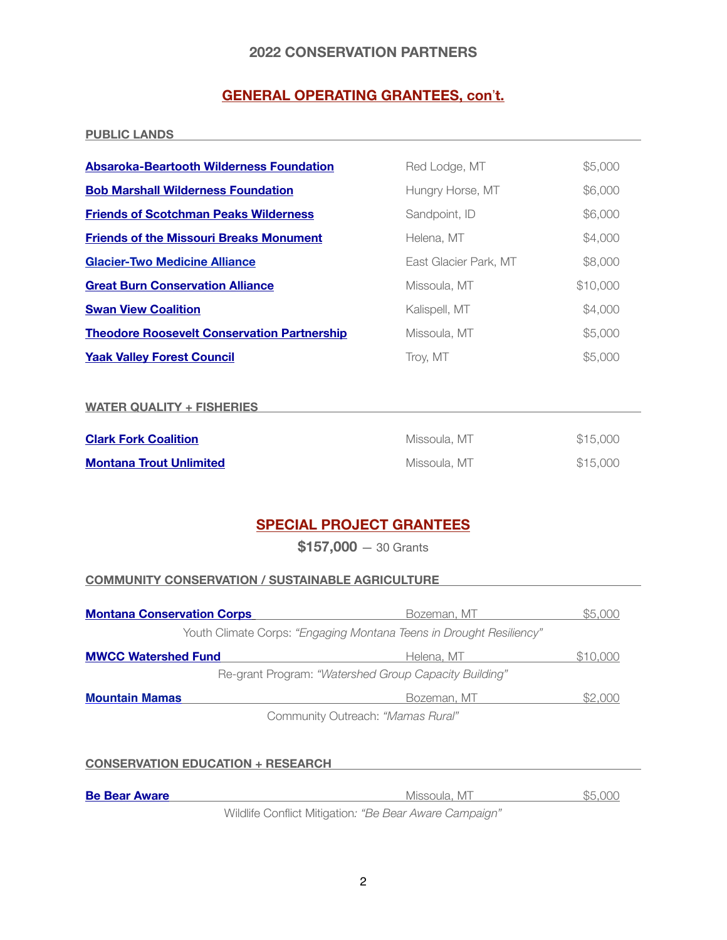# **GENERAL OPERATING GRANTEES, con't.**

#### **PUBLIC LANDS**

| <b>Absaroka-Beartooth Wilderness Foundation</b>    | Red Lodge, MT         | \$5,000  |
|----------------------------------------------------|-----------------------|----------|
| <b>Bob Marshall Wilderness Foundation</b>          | Hungry Horse, MT      | \$6,000  |
| <b>Friends of Scotchman Peaks Wilderness</b>       | Sandpoint, ID         | \$6,000  |
| <b>Friends of the Missouri Breaks Monument</b>     | Helena, MT            | \$4,000  |
| <b>Glacier-Two Medicine Alliance</b>               | East Glacier Park, MT | \$8,000  |
| <b>Great Burn Conservation Alliance</b>            | Missoula, MT          | \$10,000 |
| <b>Swan View Coalition</b>                         | Kalispell, MT         | \$4,000  |
| <b>Theodore Roosevelt Conservation Partnership</b> | Missoula, MT          | \$5,000  |
| <b>Yaak Valley Forest Council</b>                  | Trov. MT              | \$5,000  |

#### **WATER QUALITY + FISHERIES**

| <b>Clark Fork Coalition</b>    | Missoula, MT | \$15,000 |
|--------------------------------|--------------|----------|
| <b>Montana Trout Unlimited</b> | Missoula, MT | \$15,000 |

# **SPECIAL PROJECT GRANTEES**

**\$157,000** — 30 Grants

## **COMMUNITY CONSERVATION / SUSTAINABLE AGRICULTURE**

| <b>Montana Conservation Corps</b> | Bozeman, MT                                                         | \$5.000  |
|-----------------------------------|---------------------------------------------------------------------|----------|
|                                   | Youth Climate Corps: "Engaging Montana Teens in Drought Resiliency" |          |
| <b>MWCC Watershed Fund</b>        | Helena, MT                                                          | \$10,000 |
|                                   | Re-grant Program: "Watershed Group Capacity Building"               |          |
| <b>Mountain Mamas</b>             | Bozeman, MT                                                         | IS2 000  |
|                                   | Community Outreach: "Mamas Rural"                                   |          |

| <b>CONSERVATION EDUCATION + RESEARCH</b> |  |
|------------------------------------------|--|
|                                          |  |

| <b>Be Bear Aware</b> | Missoula, MT | \$5,000 |
|----------------------|--------------|---------|
|                      |              |         |

Wildlife Conflict Mitigation*: "Be Bear Aware Campaign"*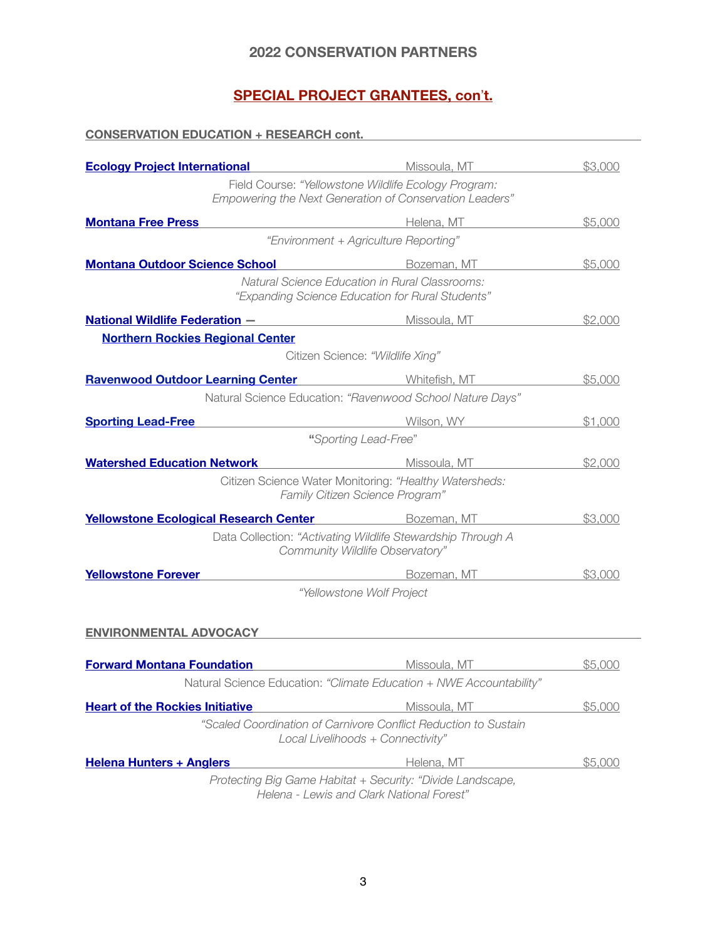# **SPECIAL PROJECT GRANTEES, con't.**

#### **CONSERVATION EDUCATION + RESEARCH cont.**

| <b>Ecology Project International</b>                                                       | Missoula, MT                                                                                                    | \$3,000 |
|--------------------------------------------------------------------------------------------|-----------------------------------------------------------------------------------------------------------------|---------|
|                                                                                            | Field Course: "Yellowstone Wildlife Ecology Program:<br>Empowering the Next Generation of Conservation Leaders" |         |
| <b>Montana Free Press</b>                                                                  | Helena, MT                                                                                                      | \$5,000 |
|                                                                                            | "Environment + Agriculture Reporting"                                                                           |         |
| <b>Montana Outdoor Science School</b>                                                      | Bozeman, MT                                                                                                     | \$5,000 |
|                                                                                            | <b>Natural Science Education in Rural Classrooms:</b><br>"Expanding Science Education for Rural Students"       |         |
| <b>National Wildlife Federation - William Contract Missoula, MT</b>                        |                                                                                                                 | \$2,000 |
| <b>Northern Rockies Regional Center</b>                                                    |                                                                                                                 |         |
|                                                                                            | Citizen Science: "Wildlife Xing"                                                                                |         |
| <b>Ravenwood Outdoor Learning Center</b>                                                   | <b>Example 2018</b> Whitefish, MT                                                                               | \$5,000 |
|                                                                                            | Natural Science Education: "Ravenwood School Nature Days"                                                       |         |
| <b>Sporting Lead-Free</b><br><u> 1980 - Johann Barn, mars an t-Amerikaansk politiker (</u> | Wilson, WY                                                                                                      | \$1,000 |
|                                                                                            | "Sporting Lead-Free"                                                                                            |         |
| <b>Watershed Education Network</b>                                                         | Missoula, MT                                                                                                    | \$2,000 |
|                                                                                            | Citizen Science Water Monitoring: "Healthy Watersheds:<br>Family Citizen Science Program"                       |         |
| <b>Yellowstone Ecological Research Center</b>                                              | Bozeman, MT                                                                                                     | \$3,000 |
|                                                                                            | Data Collection: "Activating Wildlife Stewardship Through A<br>Community Wildlife Observatory"                  |         |
| <b>Yellowstone Forever</b>                                                                 | Bozeman, MT                                                                                                     | \$3,000 |
|                                                                                            | "Yellowstone Wolf Project                                                                                       |         |
|                                                                                            |                                                                                                                 |         |
| <b>ENVIRONMENTAL ADVOCACY</b>                                                              |                                                                                                                 |         |
| <b>Forward Montana Foundation</b>                                                          | Missoula, MT                                                                                                    | \$5,000 |
|                                                                                            | Natural Science Education: "Climate Education + NWE Accountability"                                             |         |
| <b>Heart of the Rockies Initiative</b>                                                     | Missoula, MT                                                                                                    | \$5,000 |
|                                                                                            | "Scaled Coordination of Carnivore Conflict Reduction to Sustain<br>Local Livelihoods + Connectivity"            |         |
| <b>Helena Hunters + Anglers</b>                                                            | Helena, MT                                                                                                      | \$5,000 |
|                                                                                            | Protocting Rig Came Habitat , Sequrity "Divide Landscape                                                        |         |

*Protecting Big Game Habitat + Security: "Divide Landscape, Helena - Lewis and Clark National Forest"*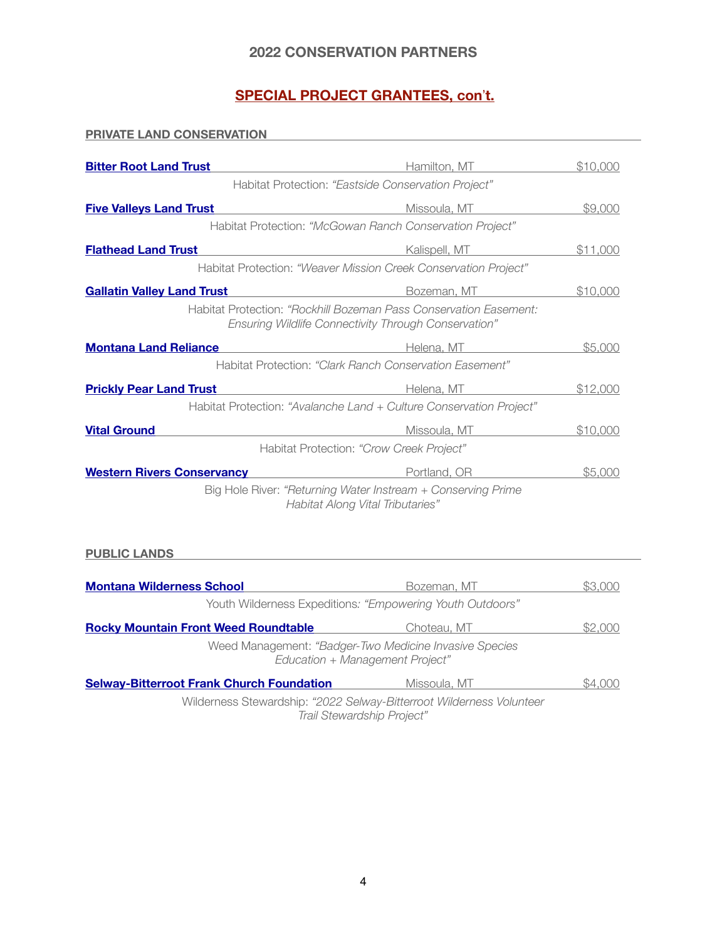# **SPECIAL PROJECT GRANTEES, con't.**

**PRIVATE LAND CONSERVATION** 

| <b>Bitter Root Land Trust</b>                                                                                                                              | Hamilton, MT                                                                                                                     | \$10,000 |
|------------------------------------------------------------------------------------------------------------------------------------------------------------|----------------------------------------------------------------------------------------------------------------------------------|----------|
|                                                                                                                                                            | Habitat Protection: "Eastside Conservation Project"                                                                              |          |
| <b>Five Valleys Land Trust</b>                                                                                                                             | Missoula, MT                                                                                                                     | \$9,000  |
|                                                                                                                                                            | Habitat Protection: "McGowan Ranch Conservation Project"                                                                         |          |
| <b>Flathead Land Trust</b><br><u> 1980 - Johann Barn, mars an t-Amerikaansk politiker (</u>                                                                | Kalispell, MT                                                                                                                    | \$11,000 |
|                                                                                                                                                            | Habitat Protection: "Weaver Mission Creek Conservation Project"                                                                  |          |
| <b>Gallatin Valley Land Trust</b>                                                                                                                          | Bozeman, MT                                                                                                                      | \$10,000 |
|                                                                                                                                                            | Habitat Protection: "Rockhill Bozeman Pass Conservation Easement:<br><b>Ensuring Wildlife Connectivity Through Conservation"</b> |          |
| <b>Montana Land Reliance</b>                                                                                                                               | Helena, MT                                                                                                                       | \$5,000  |
|                                                                                                                                                            | Habitat Protection: "Clark Ranch Conservation Fasement"                                                                          |          |
| <b>Prickly Pear Land Trust</b>                                                                                                                             | Helena, MT                                                                                                                       | \$12,000 |
|                                                                                                                                                            | Habitat Protection: "Avalanche Land + Culture Conservation Project"                                                              |          |
| <b>Vital Ground</b>                                                                                                                                        | Missoula, MT                                                                                                                     | \$10,000 |
| Habitat Protection: "Crow Creek Project"                                                                                                                   |                                                                                                                                  |          |
| <b>Western Rivers Conservancy</b><br><u> 1989 - Johann Barn, mars eta bainar eta industrial eta industrial eta industrial eta industrial eta industria</u> | Portland, OR                                                                                                                     | \$5,000  |
|                                                                                                                                                            | Big Hole River: "Returning Water Instream + Conserving Prime<br><b>Habitat Along Vital Tributaries"</b>                          |          |

## **PUBLIC LANDS**

| <b>Montana Wilderness School</b>                                                                   | Bozeman, MT                                                                               | \$3.000 |
|----------------------------------------------------------------------------------------------------|-------------------------------------------------------------------------------------------|---------|
|                                                                                                    | Youth Wilderness Expeditions: "Empowering Youth Outdoors"                                 |         |
| <b>Rocky Mountain Front Weed Roundtable</b>                                                        | Choteau, MT                                                                               | \$2.000 |
|                                                                                                    | Weed Management: "Badger-Two Medicine Invasive Species<br>Education + Management Project" |         |
| <b>Selway-Bitterroot Frank Church Foundation</b>                                                   | Missoula, MT                                                                              | SA NNN  |
| Wilderness Stewardship: "2022 Selway-Bitterroot Wilderness Volunteer<br>Trail Stewardship Project" |                                                                                           |         |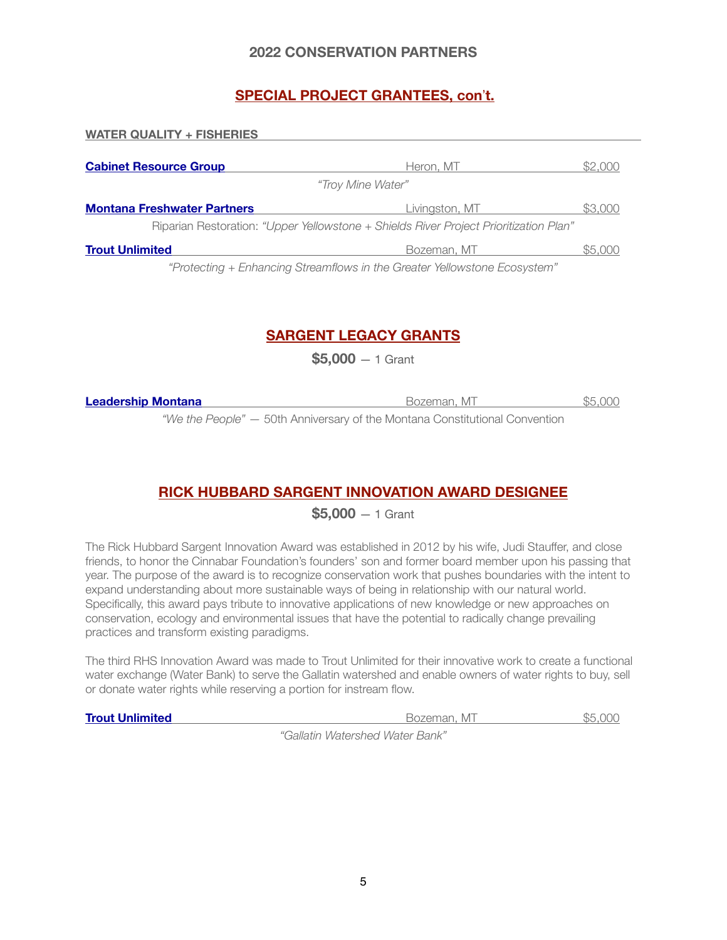# **SPECIAL PROJECT GRANTEES, con**!**t.**

| <b>WATER QUALITY + FISHERIES</b>                                                      |                |         |  |
|---------------------------------------------------------------------------------------|----------------|---------|--|
| <b>Cabinet Resource Group</b>                                                         | Heron, MT      | \$2,000 |  |
| "Troy Mine Water"                                                                     |                |         |  |
| <b>Montana Freshwater Partners</b>                                                    | Livingston, MT | \$3,000 |  |
| Riparian Restoration: "Upper Yellowstone + Shields River Project Prioritization Plan" |                |         |  |
| <b>Trout Unlimited</b>                                                                | Bozeman, MT    | \$5.000 |  |

*"Protecting + Enhancing Streamflows in the Greater Yellowstone Ecosystem"*

# **SARGENT LEGACY GRANTS**

**\$5,000** — 1 Grant

| Leadership Montana | Bozeman, MT                                                             | \$5.000 |
|--------------------|-------------------------------------------------------------------------|---------|
|                    | "Mothe Deeple" 50th Applycropy of the Mentene Constitutional Convention |         |

*"We the People" —* 50th Anniversary of the Montana Constitutional Convention

# **RICK HUBBARD SARGENT INNOVATION AWARD DESIGNEE**

**\$5,000** — 1 Grant

The Rick Hubbard Sargent Innovation Award was established in 2012 by his wife, Judi Stauffer, and close friends, to honor the Cinnabar Foundation's founders' son and former board member upon his passing that year. The purpose of the award is to recognize conservation work that pushes boundaries with the intent to expand understanding about more sustainable ways of being in relationship with our natural world. Specifically, this award pays tribute to innovative applications of new knowledge or new approaches on conservation, ecology and environmental issues that have the potential to radically change prevailing practices and transform existing paradigms.

The third RHS Innovation Award was made to Trout Unlimited for their innovative work to create a functional water exchange (Water Bank) to serve the Gallatin watershed and enable owners of water rights to buy, sell or donate water rights while reserving a portion for instream flow.

| <b>Trout Unlimited</b> | Bozeman, MI                                                    | \$5.000 |
|------------------------|----------------------------------------------------------------|---------|
|                        | $\theta$ ollotic $\theta$ otomorood $\theta$ otomoroo $\theta$ |         |

*"Gallatin Watershed Water Bank"*